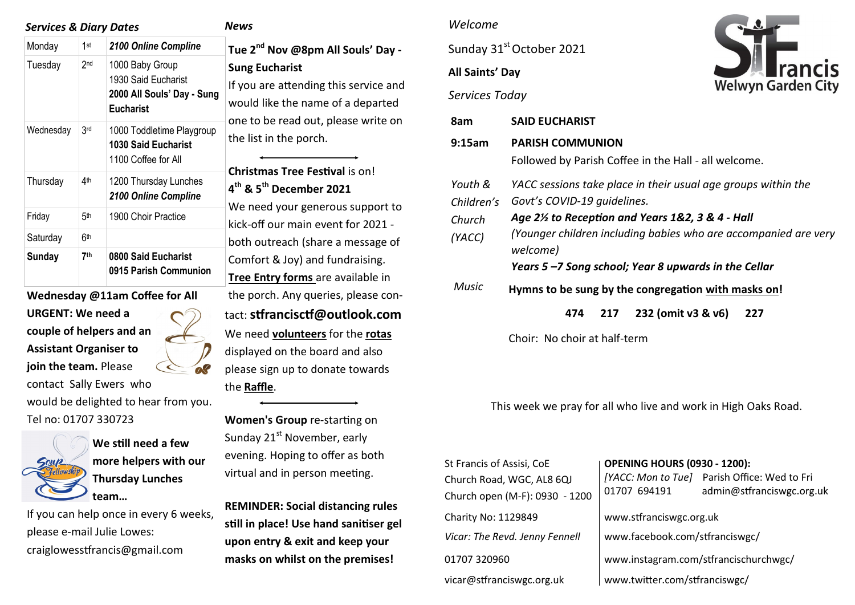| <b>Services &amp; Diary Dates</b> |                 |                                                                                          |                          |  |
|-----------------------------------|-----------------|------------------------------------------------------------------------------------------|--------------------------|--|
| Monday                            | 1st             | 2100 Online Compline                                                                     | Tue                      |  |
| Tuesday                           | 2 <sub>nd</sub> | 1000 Baby Group<br>1930 Said Eucharist<br>2000 All Souls' Day - Sung<br><b>Eucharist</b> | Sung<br>If yo<br>wou     |  |
| Wednesday                         | 3 <sub>rd</sub> | 1000 Toddletime Playgroup<br><b>1030 Said Eucharist</b><br>1100 Coffee for All           | one<br>the l             |  |
| Thursday                          | 4 <sup>th</sup> | 1200 Thursday Lunches<br>2100 Online Compline                                            | Chri<br>$4^{\text{th}}8$ |  |
| Friday                            | 5 <sup>th</sup> | 1900 Choir Practice                                                                      | We<br>kick-              |  |
| Saturday                          | 6th             |                                                                                          | both                     |  |
| Sunday                            | 7 <sup>th</sup> | 0800 Said Eucharist<br>0915 Parish Communion                                             | Com<br>Tree              |  |

**Wednesday @11am Coffee for All URGENT: We need a couple of helpers and an Assistant Organiser to join the team.** Please contact Sally Ewers who would be delighted to hear from you.

Tel no: 01707 330723



**We still need a few more helpers with our Thursday Lunches team…** 

If you can help once in every 6 weeks, please e-mail Julie Lowes: craiglowesstfrancis@gmail.com

#### $\overline{\mathbf{s}}$

**Tue 2nd Nov @8pm All Souls' Day - Sung Eucharist**  ou are attending this service and uld like the name of a departed to be read out, please write on list in the porch.

**Istmas Tree Festival is on! th & 5th December 2021** 

need your generous support to -off our main event for 2021 h outreach (share a message of ofort & Joy) and fundraising. **Entry forms** are available in the porch. Any queries, please contact: **stfrancisctf@outlook.com**  We need **volunteers** for the **rotas** displayed on the board and also please sign up to donate towards the **Raffle**.

**Women's Group** re-starting on Sunday  $21^{st}$  November, early evening. Hoping to offer as both virtual and in person meeting.

**REMINDER: Social distancing rules still in place! Use hand sanitiser gel upon entry & exit and keep your masks on whilst on the premises!** 

#### *Welcome*

Sunday 31<sup>st</sup> October 2021

# **All Saints' Day**



*Services Today*

| 8am          | <b>SAID EUCHARIST</b>                                                       |  |  |  |  |
|--------------|-----------------------------------------------------------------------------|--|--|--|--|
| 9:15am       | <b>PARISH COMMUNION</b>                                                     |  |  |  |  |
|              | Followed by Parish Coffee in the Hall - all welcome.                        |  |  |  |  |
| Youth &      | YACC sessions take place in their usual age groups within the               |  |  |  |  |
| Children's   | Govt's COVID-19 quidelines.                                                 |  |  |  |  |
| Church       | Age 2½ to Reception and Years 1&2, 3 & 4 - Hall                             |  |  |  |  |
| (YACC)       | (Younger children including babies who are accompanied are very<br>welcome) |  |  |  |  |
|              | Years 5-7 Song school; Year 8 upwards in the Cellar                         |  |  |  |  |
| <b>Music</b> | Hymns to be sung by the congregation with masks on!                         |  |  |  |  |
|              | 232 (omit v3 & v6)<br>227<br>474<br>217                                     |  |  |  |  |
|              | Choir: No choir at half-term                                                |  |  |  |  |

This week we pray for all who live and work in High Oaks Road.

| St Francis of Assisi, CoE<br>Church Road, WGC, AL8 6QJ<br>Church open (M-F): 0930 - 1200 | <b>OPENING HOURS (0930 - 1200):</b><br>01707 694191 | [YACC: Mon to Tue] Parish Office: Wed to Fri<br>admin@stfranciswgc.org.uk |  |
|------------------------------------------------------------------------------------------|-----------------------------------------------------|---------------------------------------------------------------------------|--|
| Charity No: 1129849                                                                      | www.stfranciswgc.org.uk                             |                                                                           |  |
| Vicar: The Revd. Jenny Fennell                                                           | www.facebook.com/stfranciswgc/                      |                                                                           |  |
| 01707 320960                                                                             | www.instagram.com/stfrancischurchwgc/               |                                                                           |  |
| vicar@stfranciswgc.org.uk                                                                | www.twitter.com/stfranciswgc/                       |                                                                           |  |